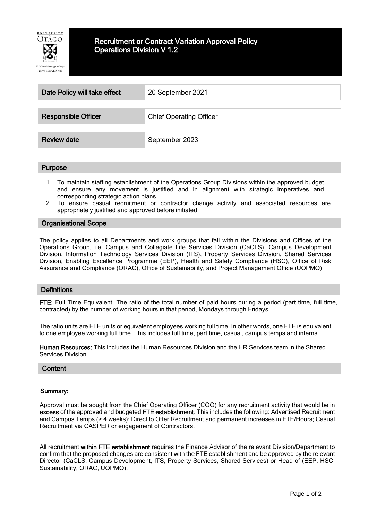

# Recruitment or Contract Variation Approval Policy Operations Division V 1.2

| Date Policy will take effect | 20 September 2021              |
|------------------------------|--------------------------------|
|                              |                                |
| <b>Responsible Officer</b>   | <b>Chief Operating Officer</b> |
| <b>Review date</b>           | September 2023                 |

#### Purpose

- 1. To maintain staffing establishment of the Operations Group Divisions within the approved budget and ensure any movement is justified and in alignment with strategic imperatives and corresponding strategic action plans.
- 2. To ensure casual recruitment or contractor change activity and associated resources are appropriately justified and approved before initiated.

#### Organisational Scope

The policy applies to all Departments and work groups that fall within the Divisions and Offices of the Operations Group, i.e. Campus and Collegiate Life Services Division (CaCLS), Campus Development Division, Information Technology Services Division (ITS), Property Services Division, Shared Services Division, Enabling Excellence Programme (EEP), Health and Safety Compliance (HSC), Office of Risk Assurance and Compliance (ORAC), Office of Sustainability, and Project Management Office (UOPMO).

#### **Definitions**

FTE: Full Time Equivalent. The ratio of the total number of paid hours during a period (part time, full time, contracted) by the number of working hours in that period, Mondays through Fridays.

The ratio units are FTE units or equivalent employees working full time. In other words, one FTE is equivalent to one employee working full time. This includes full time, part time, casual, campus temps and interns.

Human Resources: This includes the Human Resources Division and the HR Services team in the Shared Services Division.

# **Content**

#### Summary:

Approval must be sought from the Chief Operating Officer (COO) for any recruitment activity that would be in excess of the approved and budgeted FTE establishment. This includes the following: Advertised Recruitment and Campus Temps (> 4 weeks); Direct to Offer Recruitment and permanent increases in FTE/Hours; Casual Recruitment via CASPER or engagement of Contractors.

All recruitment within FTE establishment requires the Finance Advisor of the relevant Division/Department to confirm that the proposed changes are consistent with the FTE establishment and be approved by the relevant Director (CaCLS, Campus Development, ITS, Property Services, Shared Services) or Head of (EEP, HSC, Sustainability, ORAC, UOPMO).